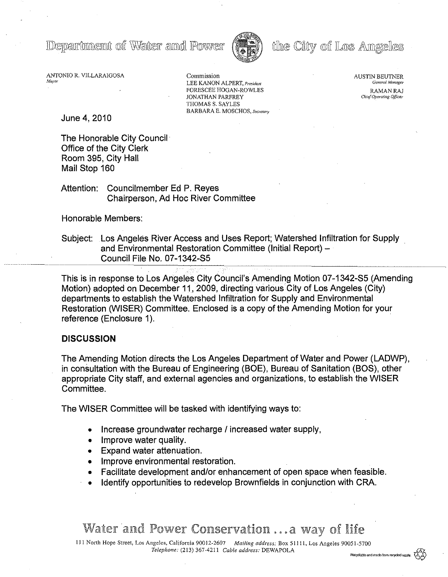Departmemt of Water and Power



# the City of Los Amgeles

ANTONIO R. VILLARAIGOSA *Mayor*

Commission LEE KANON ALPERT, *President* FORESCEE HOGAN-ROWLES JONATHAN PARFREY THOMAS S. SAYLES BARBARA E. MOSCHOS, *Secretary*  AUSTIN BEUTNER *General Manager*

RAMAN RAJ **Chief Operating Officer** 

June 4,2010

The Honorable City Council Office of the City Clerk Room 395, City Hall Mail Stop 160

Attention: Councilmember Ed P. Reyes Chairperson, Ad Hoc River Committee

### Honorable Members:

Subject: Los Angeles River Access and Uses Report; Watershed Infiltration for Supply and Environmental Restoration Committee (Initial Report) -Council File No. 07-1342-S5

This is in response to Los Angeles City Council's Amending Motion 07-1342-S5 (Amending Motion) adopted on December 11, 2009, directing various City of Los Angeles (City) departments to establish the Watershed Infiltration for Supply and Environmental Restoration (WISER) Committee. Enclosed is a copy of the Amending Motion for your reference (Enclosure 1).

### **DISCUSSION**

The Amending Motion directs the Los Angeles Department of Water and Power (LADWP), in consultation with the Bureau of Engineering (BOE), Bureau of Sanitation (BOS), other appropriate City staff, and external agencies and organizations, to establish the WISER Committee.

The WISER Committee will be tasked with identifying ways to:

- Increase groundwater recharge / increased water supply,
- Improve water quality.
- Expand water attenuation.
- Improve environmental restoration.
- Facilitate development and/or enhancement of open space when feasible.
- Identify opportunities to redevelop Brownfields in conjunction with CRA.

# Water and Power Conservation ...a way of life

**111** North Hope Street, Los Angeles, California 90012-2607 *Mailing address:* Box 51111, Los Angeles 90051-5700 *Telephone:* (213) 367-4211 *Cable address:* DEWAPOLA m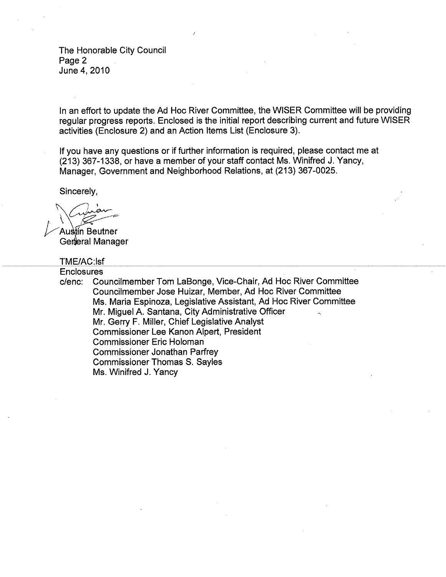The Honorable City Council Page 2 June 4,2010

In an effort to update the Ad Hoc River Committee, the WISER Committee will be providing regular progress reports. Enclosed is the initial report describing current and future WISER activities (Enclosure 2) and an Action Items List (Enclosure 3).

If you have any questions or if further information is required, please contact me at (213) 367-1338, or have a member of your staff contact Ms. Winifred J. Yancy, Manager, Govemment and Neighborhood Relations, at (213) 367-0025.

Sincerely,

mencion \~ *I ~\ ~ V*Au ln Beutner

General Manage

#### TME/AC:lsf

**Enclosures** 

,-"-------"---"----"-"-"

*c/enc:* Councilmember Tom LaBonge, Vice-Chair, Ad Hoc River Committee Councilmember Jose Huizar, Member, Ad Hoc River Committee Ms. Maria Espinoza, Legislative Assistant, Ad Hoc River Committee Mr. Miguel A. Santana, City Administrative Officer Mr. Gerry F, Miller, Chief Legislative Analyst Commissioner Lee Kanon Alpert, President Commissioner Eric Holoman Commissioner Jonathan Parfrey Commissioner Thomas S. Sayles Ms. Winifred J. Yancy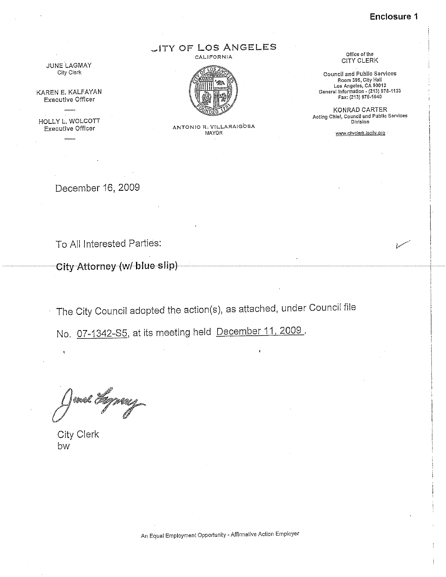**Enclosure 1**

, I ! -+

I,

# **JITY OF LOS ANGELES**

**CALIFORNIA**



KAREN E. KALFAYAN **Executive Officer**

HOLLY L. WOLCOTT

**Executive Officer ANTONIO R, V!LLARAtGOSA MAYOR**

**Office of the** CITY CLERK

**Council and Public Services Room 395, City Hal! Los Angeles, CA 90012 General** lntormatlcn- **(213) 978·1133 Fax: (213) 978·1040**

KONRAD CARTER **Acting Chief, Council and Public Services Division**

**WNW.cityclerk.lacity.Q[q**

December 16, 2009

To All Interested Parties:

City-Attorney-(w/-blue-slip)

The City Council adopted the action(s), as attached, under Council file

No. 07-1342-S5, at its meeting held December 11,2009.

and *Agnea* 

City Clerk bw

**An Equal Employment Opportunity - Affirmative Action Employer**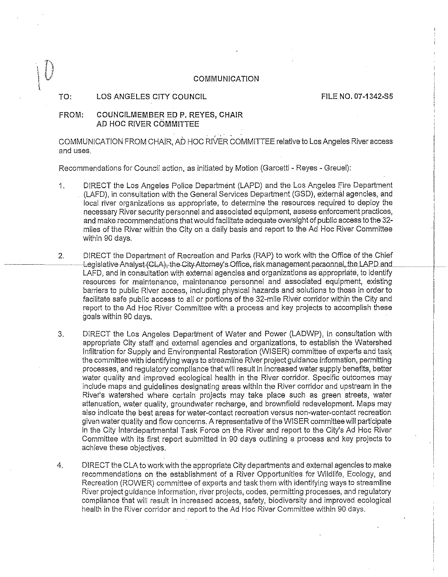#### COMMUNICATION

#### TO: LOS ANGELES CITY COUNCIL FILE NO. 07-1342-S5

,  $\Gamma$  $\bigcup$ l<br>l

#### FROM: COUNCILMEMBER EO P. REYES, CHAIR AD HOC RIVER COMMITTEE

COMMUNICATION FROM CHAIR, AD HOC RIVER COMMITTEE relative to Los Angeles River access and uses,

Recommendations for Council action, as initiated by Motion (Garcetti - Reyes - Greuel):

- 1. DIRECT the Los Angeles Police Department (LAPD) and the Los Angeles Fire Department (LAFD), in consultation with the General Services Department (GSD), external agencies, and local river organizations as appropriate, to determine the resources required to deploy the necessary River security personnel and associated equipment, assess enforcement practices, and make recommendations that would facilitate adequate oversight of public access to the 32 miles of the River within the City on a daily basis and report to the Ad Hoc River Committee within 90 days.
- DIRECT the Department of Recreation and Parks (RAP) to work with the Office of the Chief Legislative Analyst (CLA), the City Attorney's Office, risk management personnel, the LAPD and LAFD, and in consultation with external agencies and organizations as appropriate, to identify resources for maintenance,' maintenance personnel and associated equipment, existing barriers to public River access, including physical hazards and solutions to those in order to facilitate safe public access to all or portions of the 32-mile River corridor within the City and report to the Ad Hoc River Committee with a process and key projects to accomplish these goals within 90 days. 2 .
- 3. DIRECT the Los Angeles Department of Water and Power (LADWP), in consultation with appropriate City staff and external agencies and organizations, to establish the Watershed Infiltration for Supply and Environmental Restoration (WISER) committee of experts and task the committee with identifying ways to streamline River project guidance information, permitting processes, and regulatory compliance that will result in increased water supply benefits, better water quality and improved ecological health in the River corridor. Specific outcomes may include maps and guidelines designating areas within the River corridor and upstream in the River's watershed where certain projects may take place such as green streets, water attenuation, water quality, groundwater recharge, and brownfield redevelopment. Maps may also indicate the best areas for water-contact recreation versus non-water-contact recreation given water quality and flow concerns. A representative of the WISER committee will participate in the City Interdepartmental Task Force on the River and report to the City's Ad Hoc River Committee with its first report submitted in 90 days outlining a process and key projects to achieve these objectives.
- 4. DIRECT the CLA to work with the appropriate City departments and external agencies to make recommendations on the establishment of a River Opportunities for Wildlife, Ecology, and Recreation (ROWER) committee of experts and task them with identifying ways to streamline River project guidance information, river projects, codes, permitting processes, and regulatory compliance that will result in increased access, safety, biodiversity and improved ecological health in the River corridor and report to the Ad Hoc River Committee within 90 days.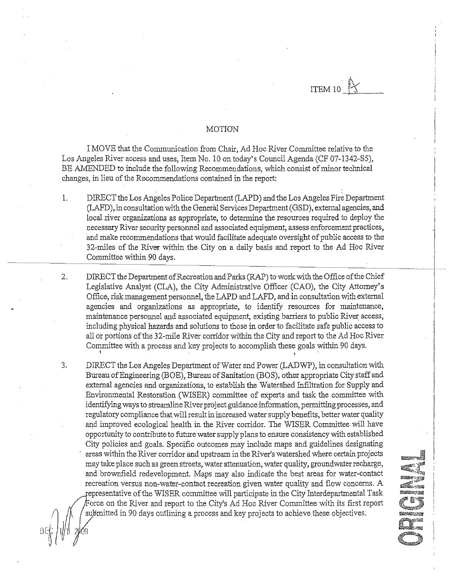ITEM 10  $\frac{1}{3}$ 

--- ------.-~--~.- -·\_----------\_·------1

I

.<br>...vee

24.26 .<br>Masji .<br>Maria

#### MOTION

I MOVE that the Communication from Chair, Ad Hoc River Committee relative to the Los Angeles River access and uses, Item No. 10 on today's Council Agenda (CF 07-1342-S5), BE AMENDED to include the following Recommendations, which consist of minor technical changes, in lieu of the Recommendations contained in the report:

- 1. DIRECT the Los Angeles Police Department (LAPD) and the Los Angeles Fire Department (LAFD), in consultation with the General Services Department (GSD), external agencies, and local river organizations as appropriate, to determine the resources required to deploy the necessary River security personnel and associated equipment, assess enforcement practices, and make recommendations that would facilitate adequate oversight of public access to the 32-miles of the River within .the City on a daily basis and report to the Ad Hoc River Committee within 90 days.
- DIRECT the Department of Recreation and Parks (RAP) to work with the Office of the Chief Legislative Analyst (CLA), the City Administrative Officer (CAO), the City Attorney's Office, risk management personnel, the LAPD and LAFD, and in consultation with external I agencies and organizations as appropriate, to identify resources for maintenance, maintenance personnel and associated equipment, existing barriers to public River access, including physical hazards and solutions to those in order to facilitate safe public access to <sup>1</sup> all or portions of the 32-mile River corridor within the City and report to the Ad Hoc River Committee with a process and key projects to accomplish these goals within 90 days. 2.

DIRECT the Los Angeles Department of Water and Power (LADWP), in consultation with Bureau of Engineering (BOE), Bureau of Sanitation (BOS), other appropriate City staff and external agencies and organizations, to establish the Watershed Infiltration for Supply and Environmental Restoration (WISER) committee of experts and task the committee with identifying ways to streamline River project guidance information, permitting processes, and regulatory compliance that will result in increased water supply benefits, better water quality and improved ecological health in the River corridor, The WISER Committee will have opportunity to contribute to future water supply plans to ensure consistency with established City policies and goals. Specific outcomes may include maps and guidelines designating areas within the River corridor and upstream in the River's watershed where certain projects may take place such as green streets, water attenuation, water quality, groundwater recharge, and brownfield redevelopment. Maps may also indicate the best areas for water-contact recreation versus non-water-contact recreation given water quality and flow concerns. A epresentative of the WISER committee will participate in the City Interdepartmental Task Force on the River and report to the City's Ad Hoc River Committee with its first report submitted in 90 days outlining a process and key projects to achieve these objectives. 3.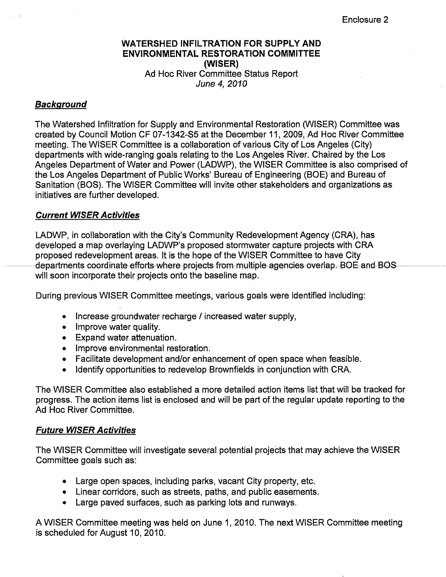## **WATERSHED INFILTRATION FOR SUPPLY AND ENVIRONMENTAL RESTORATION COMMITTEE (WISER)** Ad Hoc River Committee Status Report *June 4,2010*

# *Background*

The Watershed Infiltration for Supply and Environmental Restoration (WISER) Committee was created by Council Motion CF 07-1342-S5 at the December 11, 2009, Ad Hoc River Committee meeting. The WISER Committee is a collaboration of various City of Los Angeles (City) departments with wide-ranging goals relating to the Los Angeles River. Chaired by the Los Angeles Department of Water and Power (LADWP), the WISER Committee is also comprised of the Los Angeles Department of Public Works' Bureau of Engineering (BOE) and Bureau of Sanitation (BOS). The WISER Committee will invite other stakeholders and organizations as initiatives are further developed.

## *Current WISER Activities*

LADWP, in collaboration with the City's Community Redevelopment Agency (CRA), has developed a map overlaying LADWP's proposed stormwater capture projects with CRA proposed redevelopment areas. It is the hope of the WISER Committee to have City departments-coordinate-efforts-where-projects-from-multiple-agencies-overlap.-BOE and BOSwill soon incorporate their projects onto the baseline map.

During previous WISER Committee meetings, various goals were identified including:

- Increase groundwater recharge / increased water supply,
- Improve water quality.
- Expand water attenuation.
- Improve environmental restoration.
- Facilitate development and/or enhancement of open space when feasible.
- Identify opportunities to redevelop Brownfields in conjunction with CRA.

The WISER Committee also established a more detailed action items list that will be tracked for progress. The action items list is enclosed and will be part of the regular update reporting to the Ad Hoc River Committee.

## *Future WISER Activities*

The WISER Committee will investigate several potential projects that may achieve the WISER Committee goals such as:

- Large open spaces, including parks, vacant City property, etc.
- Linear corridors, such as streets, paths, and public easements.
- Large paved surfaces, such as parking lots and runways.

A WISER Committee meeting was held on June 1, 2010. The next WISER Committee meeting is scheduled for August 10, 2010.